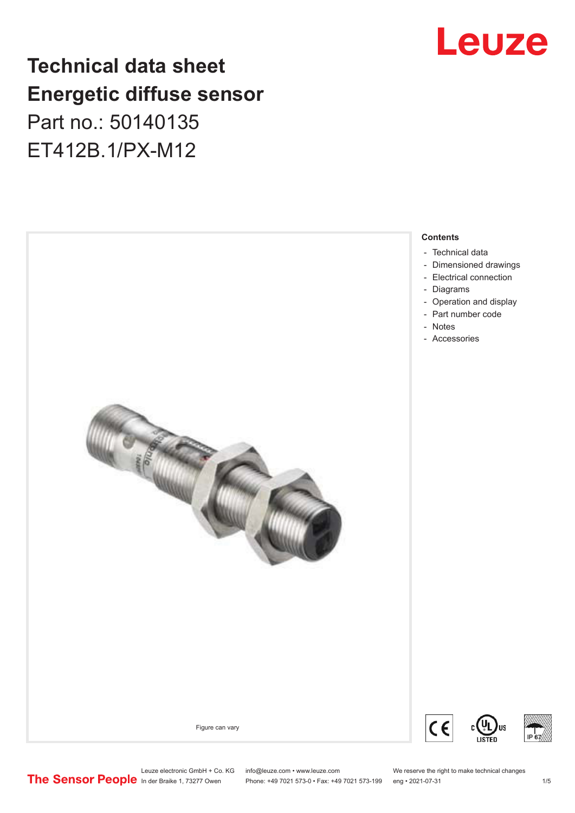## Leuze

## **Technical data sheet Energetic diffuse sensor** Part no.: 50140135

ET412B.1/PX-M12



Leuze electronic GmbH + Co. KG info@leuze.com • www.leuze.com We reserve the right to make technical changes<br>
The Sensor People in der Braike 1, 73277 Owen Phone: +49 7021 573-0 • Fax: +49 7021 573-199 eng • 2021-07-31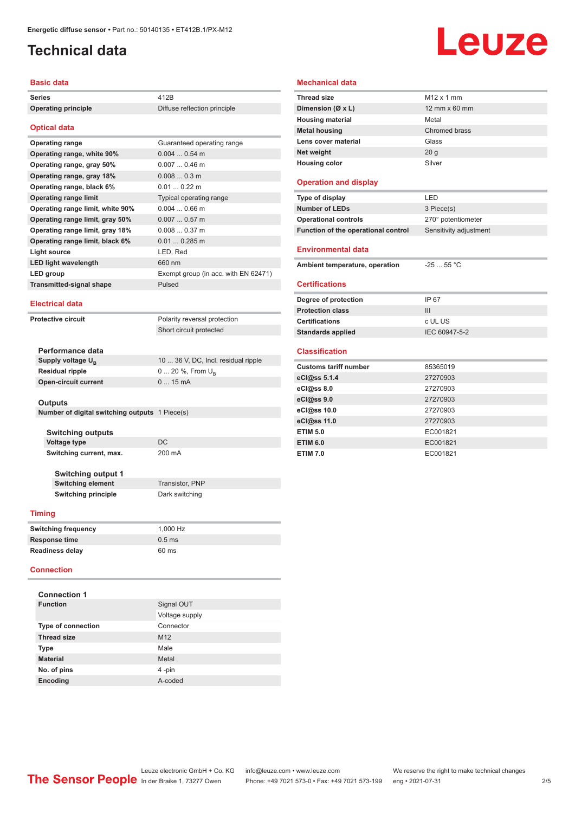## <span id="page-1-0"></span>**Technical data**

# Leuze

#### **Basic data**

| <b>Series</b>                    | 412 <sub>R</sub>                     |
|----------------------------------|--------------------------------------|
| <b>Operating principle</b>       | Diffuse reflection principle         |
| <b>Optical data</b>              |                                      |
| <b>Operating range</b>           | Guaranteed operating range           |
| Operating range, white 90%       | $0.0040.54$ m                        |
| Operating range, gray 50%        | $0.0070.46$ m                        |
| Operating range, gray 18%        | $0.0080.3$ m                         |
| Operating range, black 6%        | $0.010.22$ m                         |
| <b>Operating range limit</b>     | Typical operating range              |
| Operating range limit, white 90% | $0.0040.66$ m                        |
| Operating range limit, gray 50%  | $0.0070.57$ m                        |
| Operating range limit, gray 18%  | $0.0080.37$ m                        |
| Operating range limit, black 6%  | $0.01$ 0.285 m                       |
| <b>Light source</b>              | LED, Red                             |
| <b>LED light wavelength</b>      | 660 nm                               |
| LED group                        | Exempt group (in acc. with EN 62471) |
| <b>Transmitted-signal shape</b>  | Pulsed                               |
| <b>Electrical data</b>           |                                      |

**Protective circuit** Polarity reversal protection Short circuit protected

| Performance data              |                                     |
|-------------------------------|-------------------------------------|
| Supply voltage U <sub>B</sub> | 10  36 V, DC, Incl. residual ripple |
| Residual ripple               | $0 20 \%$ , From $U_{p}$            |
| Open-circuit current          | $015$ mA                            |
|                               |                                     |

#### **Outputs**

|  | Number of digital switching outputs 1 Piece(s) |  |
|--|------------------------------------------------|--|
|  |                                                |  |

**Switching outputs Voltage type** DC **Switching current, max.** 200 mA

**Switching output 1 Switching element** Transistor, PNP **Switching principle** Dark switching

#### **Timing**

| <b>Switching frequency</b> | 1.000 Hz |
|----------------------------|----------|
| Response time              | $0.5$ ms |
| <b>Readiness delay</b>     | 60 ms    |

#### **Connection**

| <b>Connection 1</b>       |                 |
|---------------------------|-----------------|
| <b>Function</b>           | Signal OUT      |
|                           | Voltage supply  |
| <b>Type of connection</b> | Connector       |
| <b>Thread size</b>        | M <sub>12</sub> |
| <b>Type</b>               | Male            |
| <b>Material</b>           | Metal           |
| No. of pins               | 4-pin           |
| <b>Encoding</b>           | A-coded         |

| <b>Mechanical data</b> |  |
|------------------------|--|
|------------------------|--|

| <b>Thread size</b>                  | $M12 \times 1$ mm      |
|-------------------------------------|------------------------|
| Dimension (Ø x L)                   | 12 mm x 60 mm          |
| <b>Housing material</b>             | Metal                  |
| <b>Metal housing</b>                | Chromed brass          |
| Lens cover material                 | Glass                  |
| Net weight                          | 20q                    |
| <b>Housing color</b>                | Silver                 |
|                                     |                        |
| <b>Operation and display</b>        |                        |
| Type of display                     | LED                    |
| <b>Number of LEDs</b>               | 3 Piece(s)             |
| <b>Operational controls</b>         | 270° potentiometer     |
| Function of the operational control | Sensitivity adjustment |
|                                     |                        |
| <b>Environmental data</b>           |                        |
| Ambient temperature, operation      | $-2555 °C$             |
|                                     |                        |
| <b>Certifications</b>               |                        |
| Degree of protection                | IP 67                  |
| <b>Protection class</b>             | III                    |
| <b>Certifications</b>               | c UL US                |
| <b>Standards applied</b>            | IEC 60947-5-2          |
|                                     |                        |
|                                     |                        |

#### **Classification**

| <b>Customs tariff number</b> | 85365019 |
|------------------------------|----------|
| eCl@ss 5.1.4                 | 27270903 |
| eCl@ss 8.0                   | 27270903 |
| eCl@ss 9.0                   | 27270903 |
| eCl@ss 10.0                  | 27270903 |
| eCl@ss 11.0                  | 27270903 |
| <b>ETIM 5.0</b>              | EC001821 |
| <b>ETIM 6.0</b>              | EC001821 |
| <b>ETIM 7.0</b>              | EC001821 |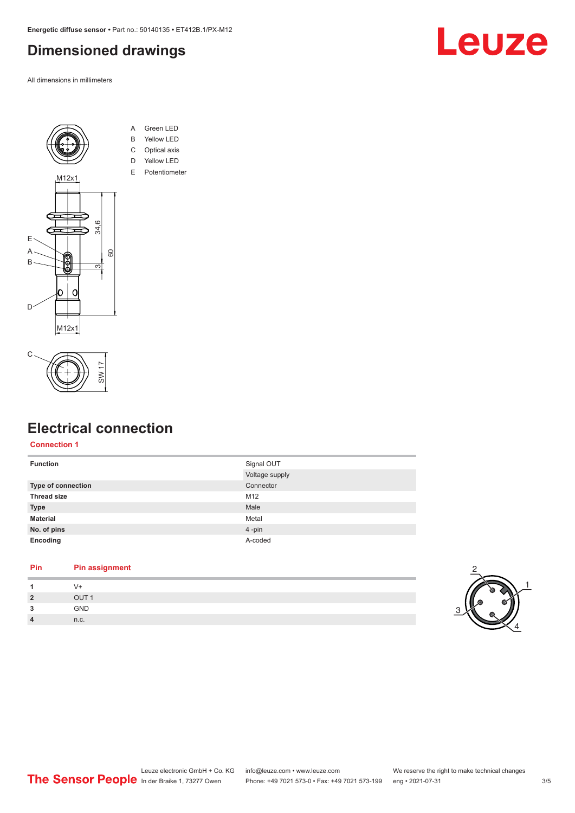### <span id="page-2-0"></span>**Dimensioned drawings**

All dimensions in millimeters





- A Green LED B Yellow LED
- C Optical axis
- D Yellow LED
- E Potentiometer





## **Electrical connection**

#### **Connection 1**

| <b>Function</b>    | Signal OUT     |
|--------------------|----------------|
|                    | Voltage supply |
| Type of connection | Connector      |
| <b>Thread size</b> | M12            |
| <b>Type</b>        | Male           |
| <b>Material</b>    | Metal          |
| No. of pins        | 4-pin          |
| Encoding           | A-coded        |
|                    |                |

#### **Pin Pin assignment**

| и              |                  |
|----------------|------------------|
| $\overline{2}$ | OUT <sub>1</sub> |
| 3              | GND              |
| $\overline{4}$ | n.c.             |

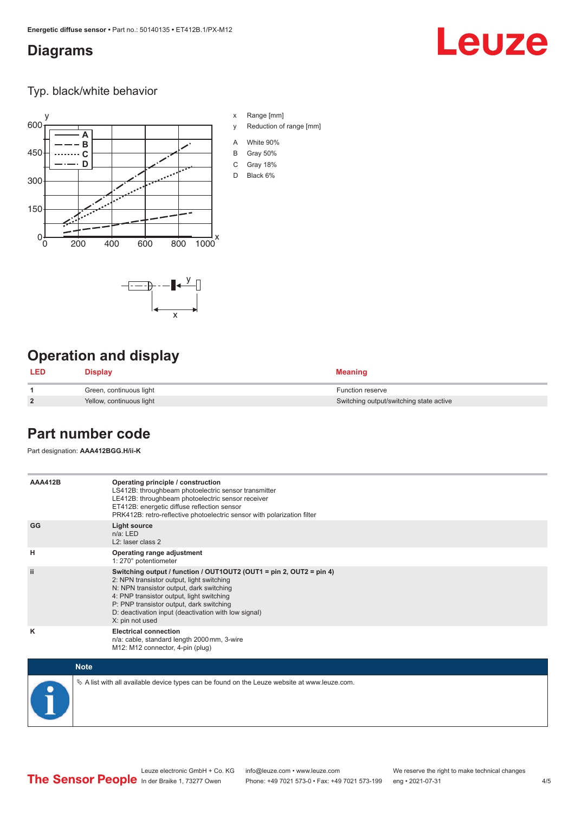#### <span id="page-3-0"></span>**Diagrams**

## Leuze

Typ. black/white behavior



x

 $-\overline{...}$   $-\overline{...}$   $-\overline{...}$ 

x Range [mm]

- y Reduction of range [mm]
- A White 90%
- B Gray 50%
- C Gray 18%
- D Black 6%

## **Operation and display**

| LED            | <b>Display</b>           | <b>Meaning</b>                          |
|----------------|--------------------------|-----------------------------------------|
|                | Green, continuous light  | <b>Function reserve</b>                 |
| $\overline{2}$ | Yellow, continuous light | Switching output/switching state active |

#### **Part number code**

Part designation: **AAA412BGG.H/ii-K**

| <b>AAA412B</b> | Operating principle / construction<br>LS412B: throughbeam photoelectric sensor transmitter<br>LE412B: throughbeam photoelectric sensor receiver<br>ET412B: energetic diffuse reflection sensor<br>PRK412B: retro-reflective photoelectric sensor with polarization filter                                                        |
|----------------|----------------------------------------------------------------------------------------------------------------------------------------------------------------------------------------------------------------------------------------------------------------------------------------------------------------------------------|
| GG             | <b>Light source</b><br>$n/a$ : LED<br>$L2$ : laser class 2                                                                                                                                                                                                                                                                       |
| н              | Operating range adjustment<br>1: 270° potentiometer                                                                                                                                                                                                                                                                              |
| ii.            | Switching output / function / OUT1OUT2 (OUT1 = pin 2, OUT2 = pin 4)<br>2: NPN transistor output, light switching<br>N: NPN transistor output, dark switching<br>4: PNP transistor output, light switching<br>P: PNP transistor output, dark switching<br>D: deactivation input (deactivation with low signal)<br>X: pin not used |
| κ              | <b>Electrical connection</b><br>n/a: cable, standard length 2000 mm, 3-wire<br>M12: M12 connector, 4-pin (plug)                                                                                                                                                                                                                  |

| <b>Note</b>                                                                                     |
|-------------------------------------------------------------------------------------------------|
| $\&$ A list with all available device types can be found on the Leuze website at www.leuze.com. |

 $4/5$